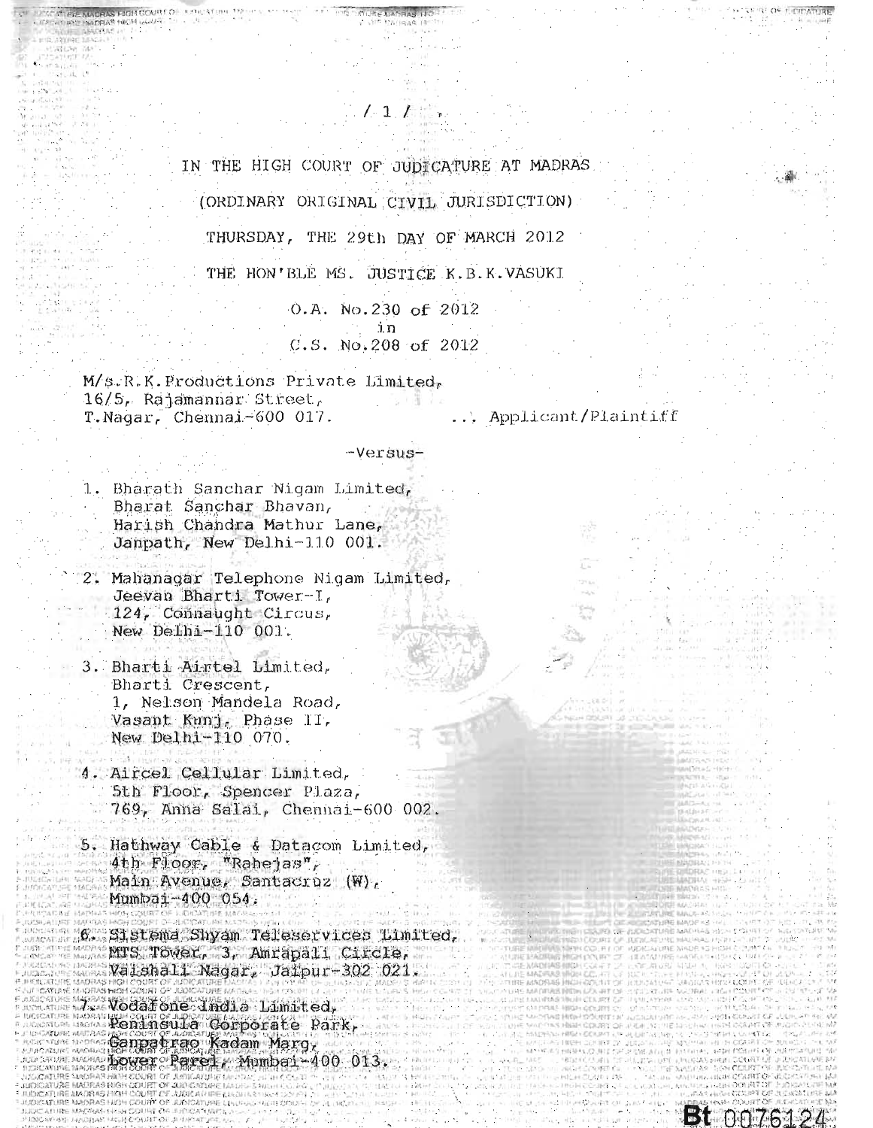IN THE HIGH COURT OF JUDICATURE AT MADRAS (ORDINARY ORIGINAL CIVIL JURISDICTION)

 $1.11$ 

THURSDAY, THE 29th DAY OF MARCH 2012 THE HON'BLE MS. JUSTICE K.B.K.VASUKI

> 0.A. No.230 of 2012 ່າ ກ C.S. No.208 of 2012

M/s.R.K.Productions Private Limited, 16/5, Rajamannar Street, T.Nagar, Chennai-600 017.

... Applicant/Plaintiff

Bt 0076124

-Versus-

1. Bharath Sanchar Nigam Limited, Bharat Sanchar Bhavan, Harish Chandra Mathur Lane, Janpath, New Delhi-110 001.

2. Mahanagar Telephone Nigam Limited, Jeevan Bharti Tower-I, 124, Connaught Circus, New Delhi-110 001.

3. Bharti Airtel Limited, Bharti Crescent, 1, Nelson Mandela Road, Vasant Kunj, Phase II, New Delhi-110 070.

4. Aircel Cellular Limited, 5th Floor, Spencer Plaza, 769, Anna Salai, Chennai-600 002.

5. Hathway Cable & Datacom Limited, 4th Floor, "Rahejas", Main Avenue, Santacruz (W), Mumbai-400 054.

6. Sistema Shyam Teleservices Limited. MTS TOWer, 3, Amrapali Circle, Matura (6-5-14) 367 Valshall Nagar, Jaipur-302 021. The Moss Wodar one Jindia Limited.<br>The Moss Reningula Corporate Park, Month Rower Parel, Mumbai-400 013. **MAGGAC NMORAS HINH COURT OF JUDICALITY MOTOR E MADRAS HIGH-**

**AIDIOATURE LINES-ASSAULT** 

Arriba Marzhan Gris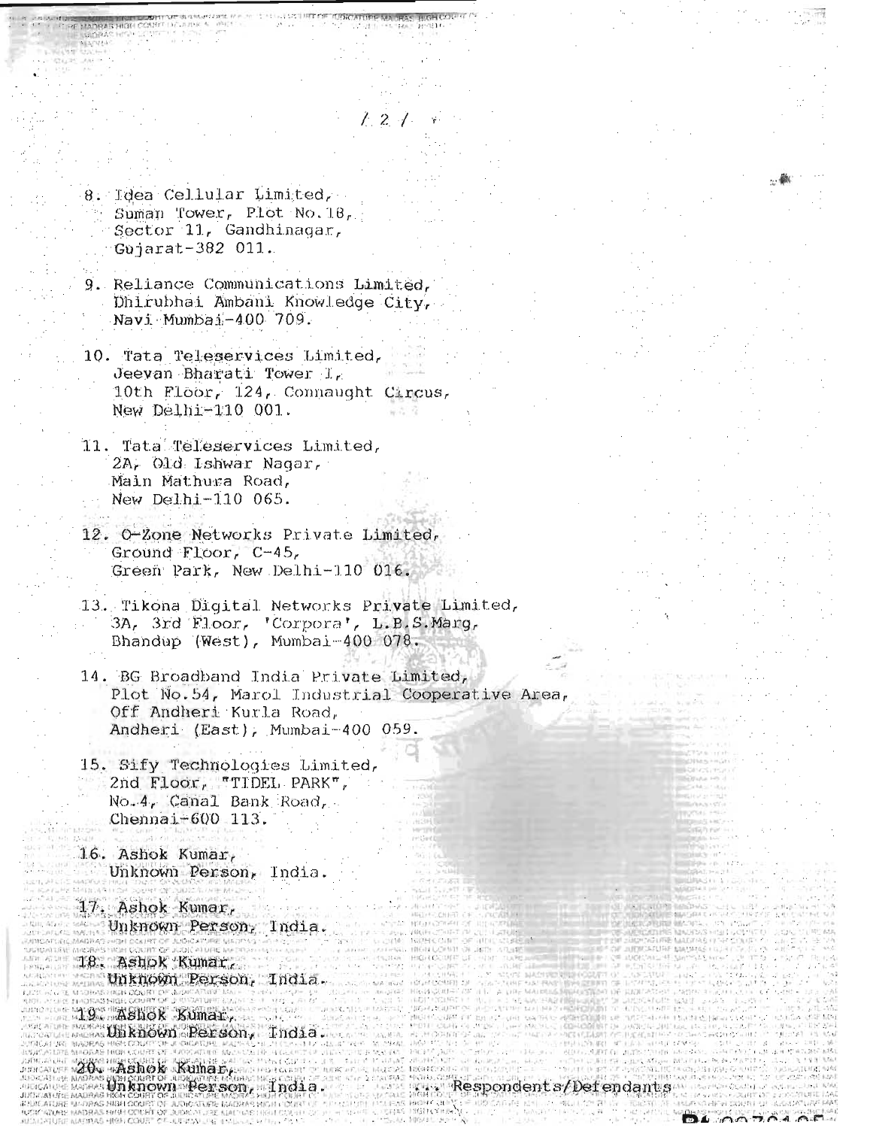8. Idea Cellular Limited, Suman Tower, Plot No. 18, Sector 11, Gandhinagar, Gujarat-382 011.

9. Reliance Communications Limited, Dhirubhai Ambani Knowledge City, Navi Mumbai-400 709.

 $\frac{1}{2}$ 

- 10. Tata Teleservices Limited, Jeevan Bharati Tower I. 10th Floor, 124, Connaught Circus, New Delhi-110 001.
- 11. Tata Teleservices Limited, 2A, Old Ishwar Nagar, Main Mathura Road, New Delhi-110 065.
- 12. O-Zone Networks Private Limited, Ground Floor,  $C-45$ , Green Park, New Delhi-110 016.
- 13. Tikona Digital Networks Private Limited, 3A, 3rd Floor, 'Corpora', L.B.S.Marg, Bhandup (West), Mumbai-400 078.
- 14. BG Broadband India Private Limited, Plot No.54, Marol Industrial Cooperative Area, Off Andheri Kurla Road, Andheri (East), Mumbai-400 059.
- 15. Sify Technologies Limited, 2nd Floor, "TIDEL PARK", No. 4, Canal Bank Road, Chennai-600 113.

16. Ashok Kumar, Unknown Person, India.

17. Ashok Kumar, Unknown Person, India.

18. Ashok Kumar, Unknown Person, India.

19. Ashok Kumar, masUnknown Person, India.

20. Ashok Kumar, Unknown Person, India.

**AS NIGH OCCUP** 

Respondents/Defendants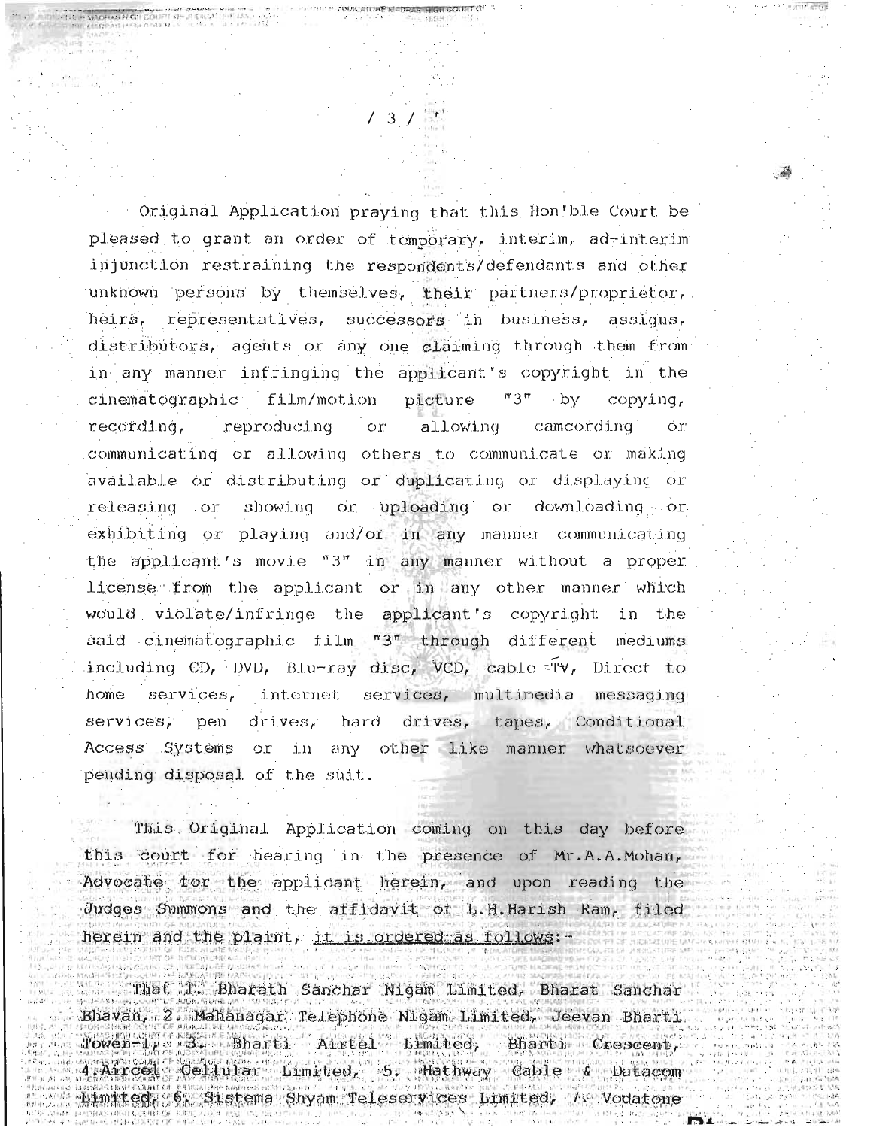Original Application praying that this Hon'ble Court be pleased to grant an order of temporary, interim, ad-interim injunction restraining the respondents/defendants and other unknown persons by themselves, their partners/proprietor, heirs, representatives, successors in business, assigns, distributors, agents or any one claiming through them from in any manner infringing the applicant's copyright in the film/motion cinematographic picture  $"3"$ - bv copving. recording, reproducing  $\overline{\text{or}}$ allowing camcording Ör' communicating or allowing others to communicate or making available or distributing or duplicating or displaying or showing or uploading or downloading or releasing or exhibiting or playing and/or in any manner communicating the applicant's movie  $"3"$  in any manner without a proper license from the applicant or in any other manner which would violate/infringe the applicant's copyright in the said cinematographic film "3" through different mediums including CD, DVD, Blu-ray disc, VCD, cable TV, Direct to  $s$ ervices, internet services, multimedia messaging home services. pen drives, hard drives, tapes, Conditional Access Systems or in any other like manner whatsoever pending disposal of the suit.

This Original Application coming on this day before this court for hearing in the presence of Mr.A.A.Mohan, Advocate for the applicant herein, and upon reading the Judges Summons and the affidavit of L.H.Harish Ram, filed herein and the plaint, it is ordered as follows:-

That I. Bharath Sanchar Nigam Limited, Bharat Sanchar Bhavan, 2. Mahanagar Telephone Nigam Limited, Jeevan Bharti.  $Power-1 = 3.$ Bharti Airtel Limited, Bharti Crescent, 4 Aircel Celiular Limited, 5. Hathway Cable & Datacom Limited 6. Sistema Shyam Teleservices Limited, / Vodatone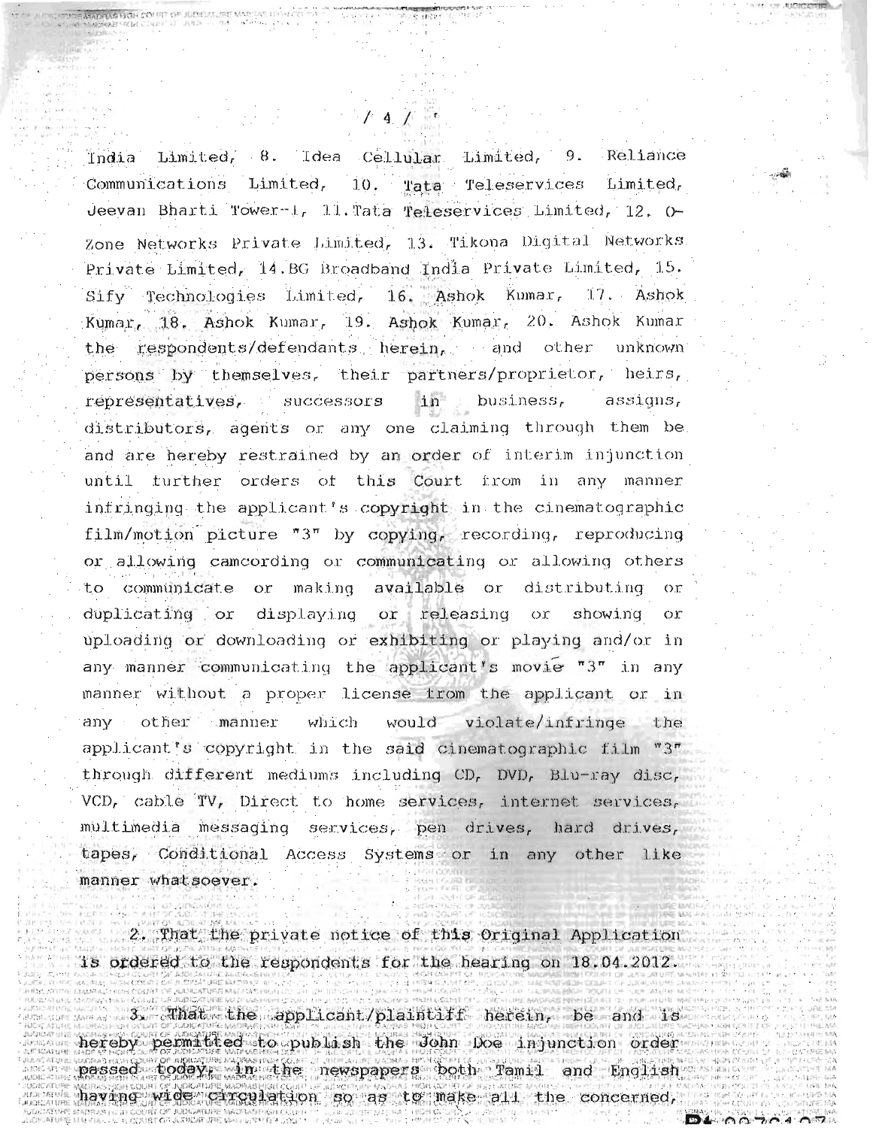India Limited, 8. Idea Cellular Limited, 9. Reliance Communications Limited.  $10.$ Tata Teleservices Limited, Jeevan Bharti Tower-1, 11. Tata Teleservices Limited, 12, 0-Zone Networks Private Limited, 13. Tikona Digital Networks. Private Limited, 14.BG Broadband India Private Limited, 15. Sify Technologies Limited, 16. Ashok Kumar, 17. Ashok Kumar, 18. Ashok Kumar, 19. Ashok Kumar, 20. Ashok Kumar respondents/defendants herein, and other unknown the. persons by themselves, their partners/proprietor, heirs, representatives, successors business,  $i<sub>n</sub>$ assigns, distributors, agents or any one claiming through them be. and are hereby restrained by an order of interim injunction until turther orders of this Court from in any manner infringing the applicant's copyright in the cinematographic film/motion picture " $3^{\pi}$  by copying, recording, reproducing or allowing camcording or communicating or allowing others or making to communicate available or distributing or releasing duplicating or displaying or οr showing  $O<sub>1</sub>$ uploading or downloading or exhibiting or playing and/or in any manner communicating the applicant's movie "3" in any manner without a proper license from the applicant or in any other manner which would violate/infringe the applicant's copyright in the said cinematographic film "3" through different mediums including CD, DVD, Blu-ray disc, VCD, cable TV, Direct to home services, internet services, multimedia messaging services, pen drives, hard drives, tapes, Conditional Access Systems or in any other like manner whatsoever.

 $4 \pm 1$ 

2. That the private notice of this Original Application is ordered to the respondents for the hearing on 18.04.2012.

 $3$ , Anat the applicant/plaintiff herein, be and is hereby permitted to publish the John Doe injunction order passed today, in the newspapers both Tamil and English having wide circulation so as to make all the concerned,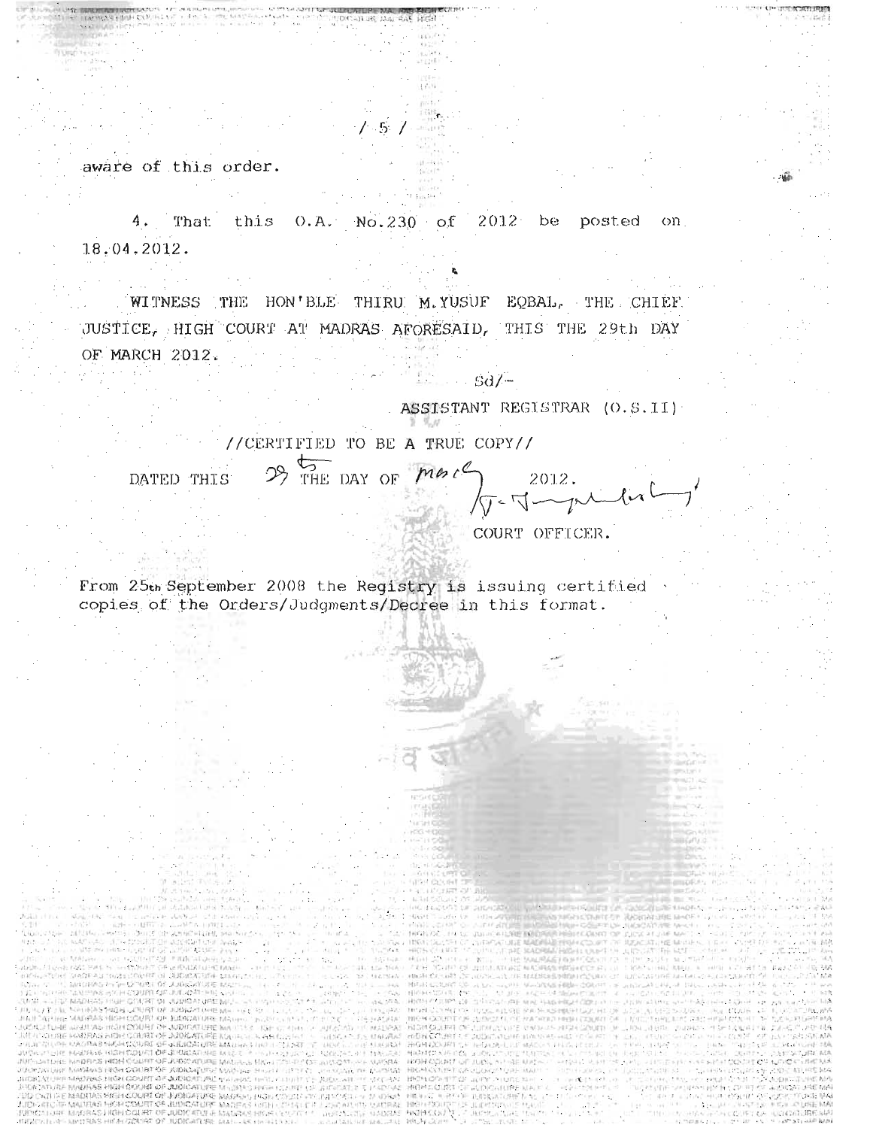aware of this order.

4. That this 0.A. No.230 of 2012 be posted  $_{\rm on}$  $18,04.2012.$ 

WITNESS THE HON'BLE THIRU M.YUSUF EQBAL, THE CHIEF. JUSTICE, HIGH COURT AT MADRAS AFORESAID, THIS THE 29th DAY OF MARCH 2012.

ASSISTANT REGISTRAR (O.S.II)

 $Sd/-$ 

//CERTIFIED TO BE A TRUE COPY//

29 THE DAY OF MAIL DATED THIS

 $2012.$  $\sigma$ -Joyandurly

COURT OFFICER.

From 25th September 2008 the Registry is issuing certified copies of the Orders/Judgments/Decree in this format.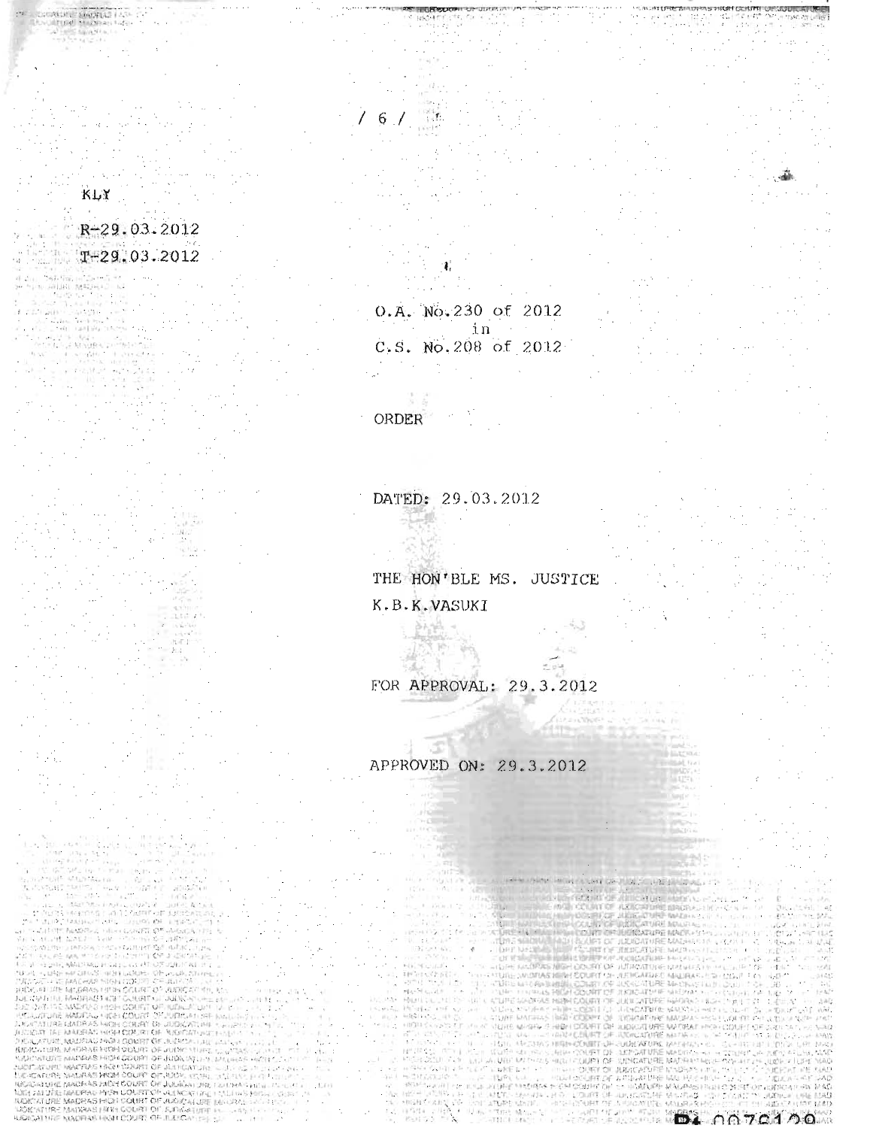## $R-29.03.2012$  $T-29.03.2012$

il.

**HOPE COLIFFI** 

**GAERIAS HYSH LON.FEE** 

NATION CONTINUES IN **IAS MOH COUR 45 FIELH COURT** 

IL MADRAS HIDELOOMEEN " AURORI ISL<br>IL MADRAS HIDELOOMEEN " AURORI ISLE<br>IF NADRAS HIGELOOMEEN - EANGATUEF

 $\overline{\Omega}$ 

OF JULI

ALENCIAN

KLY

0.A. No.230 of 2012 in C.S. No.208 of 2012

ORDER

6

DATED: 29.03.2012

 $87 - 14$ 

THE HON'BLE MS. JUSTICE K.B.K.VASUKI

FOR APPROVAL: 29.3.2012

APPROVED ON: 29.3.2012

**URBEARAN** 

**JUNEATURE MATERS** コナトロンド

**DA** 0070100